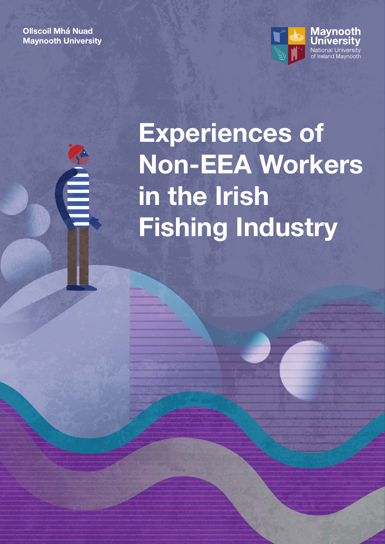**Ollscoil Mhá Nuad Maynooth University** 



# Experiences of Non-EEA Workers in the Irish Fishing Industry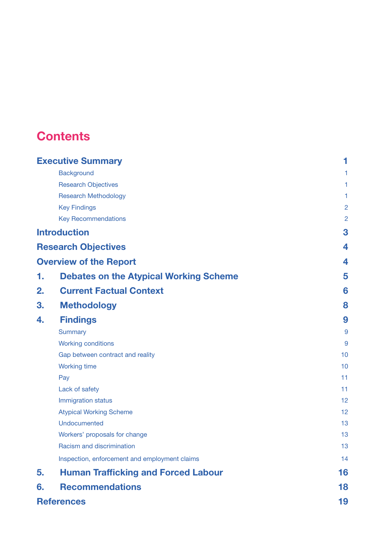## **Contents**

| <b>Executive Summary</b>   |                                               | 1              |
|----------------------------|-----------------------------------------------|----------------|
|                            | <b>Background</b>                             | 1              |
|                            | <b>Research Objectives</b>                    | 1              |
|                            | <b>Research Methodology</b>                   | 1              |
|                            | <b>Key Findings</b>                           | $\overline{2}$ |
|                            | <b>Key Recommendations</b>                    | $\overline{2}$ |
| <b>Introduction</b>        |                                               | 3              |
| <b>Research Objectives</b> |                                               | 4              |
|                            | <b>Overview of the Report</b>                 | 4              |
| 1.                         | <b>Debates on the Atypical Working Scheme</b> | 5              |
| 2.                         | <b>Current Factual Context</b>                | 6              |
| 3.                         | <b>Methodology</b>                            | 8              |
| 4.                         | <b>Findings</b>                               | 9              |
|                            | Summary                                       | 9              |
|                            | <b>Working conditions</b>                     | 9              |
|                            | Gap between contract and reality              | 10             |
|                            | <b>Working time</b>                           | 10             |
|                            | Pay                                           | 11             |
|                            | Lack of safety                                | 11             |
|                            | Immigration status                            | 12             |
|                            | <b>Atypical Working Scheme</b>                | 12             |
|                            | Undocumented                                  | 13             |
|                            | Workers' proposals for change                 | 13             |
|                            | Racism and discrimination                     | 13             |
|                            | Inspection, enforcement and employment claims | 14             |
| 5.                         | <b>Human Trafficking and Forced Labour</b>    | 16             |
| 6.                         | <b>Recommendations</b>                        | 18             |
| <b>References</b>          |                                               | 19             |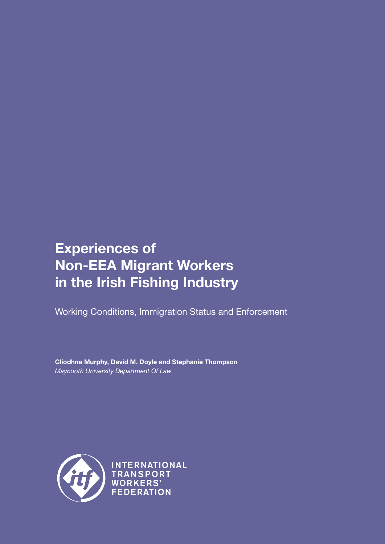## Experiences of Non-EEA Migrant Workers in the Irish Fishing Industry

Working Conditions, Immigration Status and Enforcement

Clíodhna Murphy, David M. Doyle and Stephanie Thompson *Maynooth University Department Of Law*



INTERNATIONAL **TRANSPORT WORKERS' FEDERATION**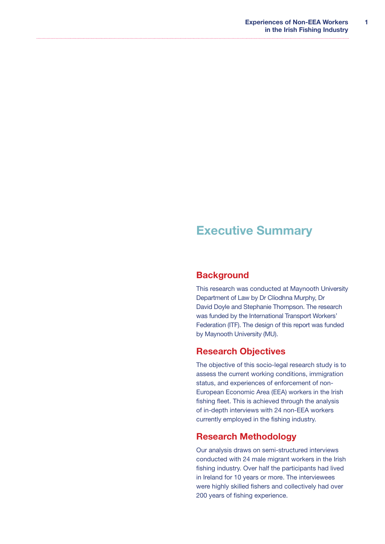## <span id="page-4-0"></span>Executive Summary

### **Background**

This research was conducted at Maynooth University Department of Law by Dr Clíodhna Murphy, Dr David Doyle and Stephanie Thompson. The research was funded by the International Transport Workers' Federation (ITF). The design of this report was funded by Maynooth University (MU).

### Research Objectives

The objective of this socio-legal research study is to assess the current working conditions, immigration status, and experiences of enforcement of non-European Economic Area (EEA) workers in the Irish fishing fleet. This is achieved through the analysis of in-depth interviews with 24 non-EEA workers currently employed in the fishing industry.

### Research Methodology

Our analysis draws on semi-structured interviews conducted with 24 male migrant workers in the Irish fishing industry. Over half the participants had lived in Ireland for 10 years or more. The interviewees were highly skilled fishers and collectively had over 200 years of fishing experience.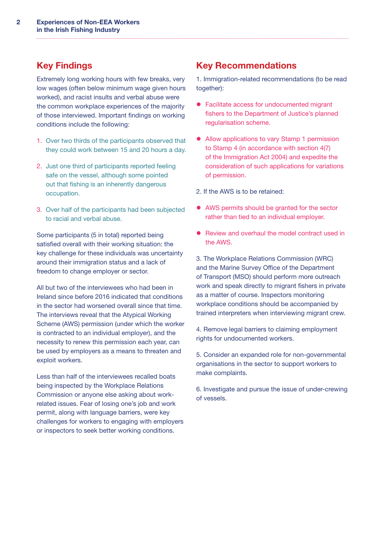## <span id="page-5-0"></span>Key Findings

Extremely long working hours with few breaks, very low wages (often below minimum wage given hours worked), and racist insults and verbal abuse were the common workplace experiences of the majority of those interviewed. Important findings on working conditions include the following:

- 1. Over two thirds of the participants observed that they could work between 15 and 20 hours a day.
- 2. Just one third of participants reported feeling safe on the vessel, although some pointed out that fishing is an inherently dangerous occupation.
- 3. Over half of the participants had been subjected to racial and verbal abuse.

Some participants (5 in total) reported being satisfied overall with their working situation: the key challenge for these individuals was uncertainty around their immigration status and a lack of freedom to change employer or sector.

All but two of the interviewees who had been in Ireland since before 2016 indicated that conditions in the sector had worsened overall since that time. The interviews reveal that the Atypical Working Scheme (AWS) permission (under which the worker is contracted to an individual employer), and the necessity to renew this permission each year, can be used by employers as a means to threaten and exploit workers.

Less than half of the interviewees recalled boats being inspected by the Workplace Relations Commission or anyone else asking about workrelated issues. Fear of losing one's job and work permit, along with language barriers, were key challenges for workers to engaging with employers or inspectors to seek better working conditions.

## Key Recommendations

1. Immigration-related recommendations (to be read together):

- Facilitate access for undocumented migrant fishers to the Department of Justice's planned regularisation scheme.
- Allow applications to vary Stamp 1 permission to Stamp 4 (in accordance with section 4(7) of the Immigration Act 2004) and expedite the consideration of such applications for variations of permission.
- 2. If the AWS is to be retained:
- AWS permits should be granted for the sector rather than tied to an individual employer.
- Review and overhaul the model contract used in the AWS.

3. The Workplace Relations Commission (WRC) and the Marine Survey Office of the Department of Transport (MSO) should perform more outreach work and speak directly to migrant fishers in private as a matter of course. Inspectors monitoring workplace conditions should be accompanied by trained interpreters when interviewing migrant crew.

4. Remove legal barriers to claiming employment rights for undocumented workers.

5. Consider an expanded role for non-governmental organisations in the sector to support workers to make complaints.

6. Investigate and pursue the issue of under-crewing of vessels.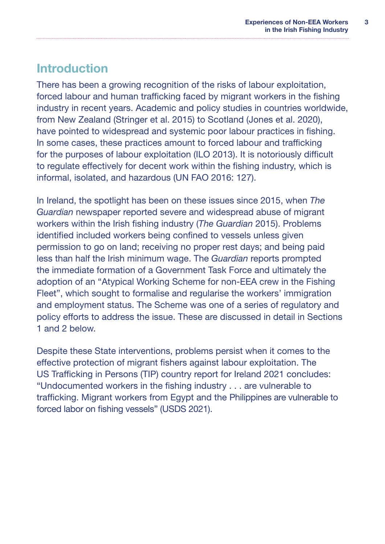## <span id="page-6-0"></span>Introduction

There has been a growing recognition of the risks of labour exploitation. forced labour and human trafficking faced by migrant workers in the fishing industry in recent years. Academic and policy studies in countries worldwide, from New Zealand (Stringer et al. 2015) to Scotland (Jones et al. 2020), have pointed to widespread and systemic poor labour practices in fishing. In some cases, these practices amount to forced labour and trafficking for the purposes of labour exploitation (ILO 2013). It is notoriously difficult to regulate effectively for decent work within the fishing industry, which is informal, isolated, and hazardous (UN FAO 2016: 127).

In Ireland, the spotlight has been on these issues since 2015, when *The Guardian* newspaper reported severe and widespread abuse of migrant workers within the Irish fishing industry (*The Guardian* 2015). Problems identified included workers being confined to vessels unless given permission to go on land; receiving no proper rest days; and being paid less than half the Irish minimum wage. The *Guardian* reports prompted the immediate formation of a Government Task Force and ultimately the adoption of an "Atypical Working Scheme for non-EEA crew in the Fishing Fleet", which sought to formalise and regularise the workers' immigration and employment status. The Scheme was one of a series of regulatory and policy efforts to address the issue. These are discussed in detail in Sections 1 and 2 below.

Despite these State interventions, problems persist when it comes to the effective protection of migrant fishers against labour exploitation. The US Trafficking in Persons (TIP) country report for Ireland 2021 concludes: "Undocumented workers in the fishing industry . . . are vulnerable to trafficking. Migrant workers from Egypt and the Philippines are vulnerable to forced labor on fishing vessels" (USDS 2021).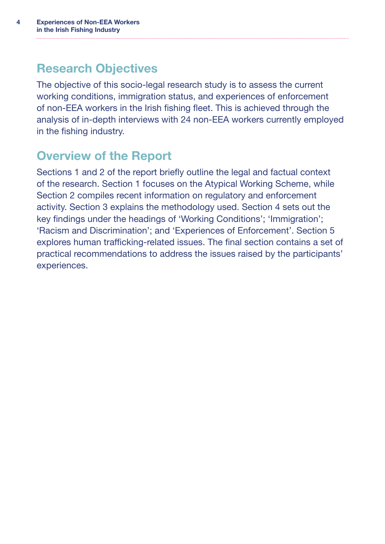## <span id="page-7-0"></span>Research Objectives

The objective of this socio-legal research study is to assess the current working conditions, immigration status, and experiences of enforcement of non-EEA workers in the Irish fishing fleet. This is achieved through the analysis of in-depth interviews with 24 non-EEA workers currently employed in the fishing industry.

## Overview of the Report

Sections 1 and 2 of the report briefly outline the legal and factual context of the research. Section 1 focuses on the Atypical Working Scheme, while Section 2 compiles recent information on regulatory and enforcement activity. Section 3 explains the methodology used. Section 4 sets out the key findings under the headings of 'Working Conditions'; 'Immigration'; 'Racism and Discrimination'; and 'Experiences of Enforcement'. Section 5 explores human trafficking-related issues. The final section contains a set of practical recommendations to address the issues raised by the participants' experiences.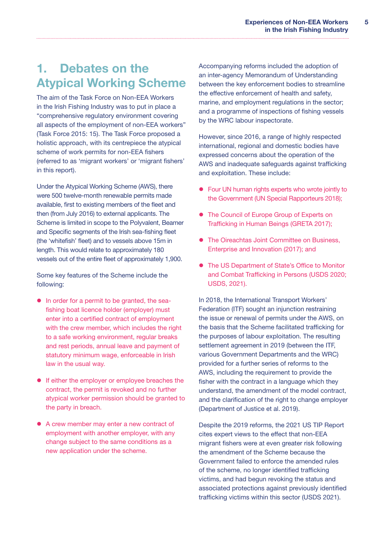## <span id="page-8-0"></span>1. Debates on the Atypical Working Scheme

The aim of the Task Force on Non-EEA Workers in the Irish Fishing Industry was to put in place a "comprehensive regulatory environment covering all aspects of the employment of non-EEA workers" (Task Force 2015: 15). The Task Force proposed a holistic approach, with its centrepiece the atypical scheme of work permits for non-EEA fishers (referred to as 'migrant workers' or 'migrant fishers' in this report).

Under the Atypical Working Scheme (AWS), there were 500 twelve-month renewable permits made available, first to existing members of the fleet and then (from July 2016) to external applicants. The Scheme is limited in scope to the Polyvalent, Beamer and Specific segments of the Irish sea-fishing fleet (the 'whitefish' fleet) and to vessels above 15m in length. This would relate to approximately 180 vessels out of the entire fleet of approximately 1,900.

Some key features of the Scheme include the following:

- In order for a permit to be granted, the seafishing boat licence holder (employer) must enter into a certified contract of employment with the crew member, which includes the right to a safe working environment, regular breaks and rest periods, annual leave and payment of statutory minimum wage, enforceable in Irish law in the usual way.
- **•** If either the employer or employee breaches the contract, the permit is revoked and no further atypical worker permission should be granted to the party in breach.
- A crew member may enter a new contract of employment with another employer, with any change subject to the same conditions as a new application under the scheme.

Accompanying reforms included the adoption of an inter-agency Memorandum of Understanding between the key enforcement bodies to streamline the effective enforcement of health and safety, marine, and employment regulations in the sector; and a programme of inspections of fishing vessels by the WRC labour inspectorate.

However, since 2016, a range of highly respected international, regional and domestic bodies have expressed concerns about the operation of the AWS and inadequate safeguards against trafficking and exploitation. These include:

- Four UN human rights experts who wrote jointly to the Government (UN Special Rapporteurs 2018);
- The Council of Europe Group of Experts on Trafficking in Human Beings (GRETA 2017);
- The Oireachtas Joint Committee on Business, Enterprise and Innovation (2017); and
- The US Department of State's Office to Monitor and Combat Trafficking in Persons (USDS 2020; USDS, 2021).

In 2018, the International Transport Workers' Federation (ITF) sought an injunction restraining the issue or renewal of permits under the AWS, on the basis that the Scheme facilitated trafficking for the purposes of labour exploitation. The resulting settlement agreement in 2019 (between the ITF, various Government Departments and the WRC) provided for a further series of reforms to the AWS, including the requirement to provide the fisher with the contract in a language which they understand, the amendment of the model contract, and the clarification of the right to change employer (Department of Justice et al. 2019).

Despite the 2019 reforms, the 2021 US TIP Report cites expert views to the effect that non-EEA migrant fishers were at even greater risk following the amendment of the Scheme because the Government failed to enforce the amended rules of the scheme, no longer identified trafficking victims, and had begun revoking the status and associated protections against previously identified trafficking victims within this sector (USDS 2021).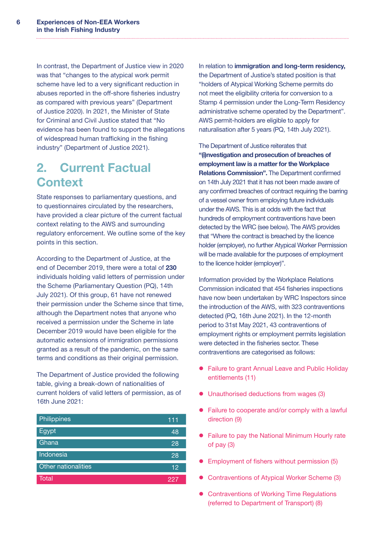<span id="page-9-0"></span>In contrast, the Department of Justice view in 2020 was that "changes to the atypical work permit scheme have led to a very significant reduction in abuses reported in the off-shore fisheries industry as compared with previous years" (Department of Justice 2020). In 2021, the Minister of State for Criminal and Civil Justice stated that "No evidence has been found to support the allegations of widespread human trafficking in the fishing industry" (Department of Justice 2021).

## 2. Current Factual **Context**

State responses to parliamentary questions, and to questionnaires circulated by the researchers, have provided a clear picture of the current factual context relating to the AWS and surrounding regulatory enforcement. We outline some of the key points in this section.

According to the Department of Justice, at the end of December 2019, there were a total of 230 individuals holding valid letters of permission under the Scheme (Parliamentary Question (PQ), 14th July 2021). Of this group, 61 have not renewed their permission under the Scheme since that time, although the Department notes that anyone who received a permission under the Scheme in late December 2019 would have been eligible for the automatic extensions of immigration permissions granted as a result of the pandemic, on the same terms and conditions as their original permission.

The Department of Justice provided the following table, giving a break-down of nationalities of current holders of valid letters of permission, as of 16th June 2021:

| Philippines         | 111  |
|---------------------|------|
| Egypt               | 48   |
| Ghana               | 28   |
| Indonesia           | 28   |
| Other nationalities | 12   |
| Total               | 1227 |

In relation to immigration and long-term residency, the Department of Justice's stated position is that "holders of Atypical Working Scheme permits do not meet the eligibility criteria for conversion to a Stamp 4 permission under the Long-Term Residency administrative scheme operated by the Department". AWS permit-holders are eligible to apply for naturalisation after 5 years (PQ, 14th July 2021).

The Department of Justice reiterates that "(i)nvestigation and prosecution of breaches of employment law is a matter for the Workplace Relations Commission". The Department confirmed on 14th July 2021 that it has not been made aware of any confirmed breaches of contract requiring the barring of a vessel owner from employing future individuals under the AWS. This is at odds with the fact that hundreds of employment contraventions have been detected by the WRC (see below). The AWS provides that "Where the contract is breached by the licence holder (employer), no further Atypical Worker Permission will be made available for the purposes of employment to the licence holder (employer)".

Information provided by the Workplace Relations Commission indicated that 454 fisheries inspections have now been undertaken by WRC Inspectors since the introduction of the AWS, with 323 contraventions detected (PQ, 16th June 2021). In the 12-month period to 31st May 2021, 43 contraventions of employment rights or employment permits legislation were detected in the fisheries sector. These contraventions are categorised as follows:

- Failure to grant Annual Leave and Public Holiday entitlements (11)
- $\bullet$  Unauthorised deductions from wages (3)
- Failure to cooperate and/or comply with a lawful direction (9)
- Failure to pay the National Minimum Hourly rate of pay (3)
- **•** Employment of fishers without permission (5)
- Contraventions of Atypical Worker Scheme (3)
- Contraventions of Working Time Regulations (referred to Department of Transport) (8)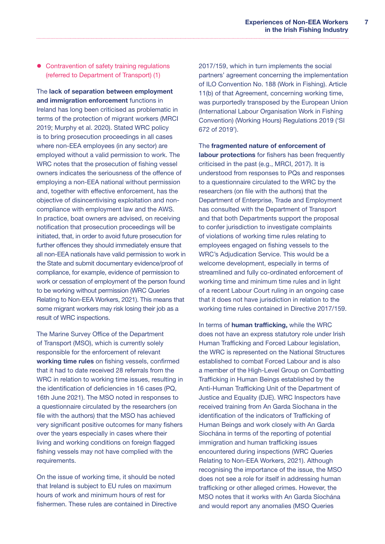• Contravention of safety training regulations (referred to Department of Transport) (1)

The lack of separation between employment and immigration enforcement functions in Ireland has long been criticised as problematic in terms of the protection of migrant workers (MRCI 2019; Murphy et al. 2020). Stated WRC policy is to bring prosecution proceedings in all cases where non-EEA employees (in any sector) are employed without a valid permission to work. The WRC notes that the prosecution of fishing vessel owners indicates the seriousness of the offence of employing a non-EEA national without permission and, together with effective enforcement, has the objective of disincentivising exploitation and noncompliance with employment law and the AWS. In practice, boat owners are advised, on receiving notification that prosecution proceedings will be initiated, that, in order to avoid future prosecution for further offences they should immediately ensure that all non-EEA nationals have valid permission to work in the State and submit documentary evidence/proof of compliance, for example, evidence of permission to work or cessation of employment of the person found to be working without permission (WRC Queries Relating to Non-EEA Workers, 2021). This means that some migrant workers may risk losing their job as a result of WRC inspections.

The Marine Survey Office of the Department of Transport (MSO), which is currently solely responsible for the enforcement of relevant working time rules on fishing vessels, confirmed that it had to date received 28 referrals from the WRC in relation to working time issues, resulting in the identification of deficiencies in 16 cases (PQ, 16th June 2021). The MSO noted in responses to a questionnaire circulated by the researchers (on file with the authors) that the MSO has achieved very significant positive outcomes for many fishers over the years especially in cases where their living and working conditions on foreign flagged fishing vessels may not have complied with the requirements.

On the issue of working time, it should be noted that Ireland is subject to EU rules on maximum hours of work and minimum hours of rest for fishermen. These rules are contained in Directive 2017/159, which in turn implements the social partners' agreement concerning the implementation of ILO Convention No. 188 (Work in Fishing). Article 11(b) of that Agreement, concerning working time, was purportedly transposed by the European Union (International Labour Organisation Work in Fishing Convention) (Working Hours) Regulations 2019 ('SI 672 of 2019').

The fragmented nature of enforcement of labour protections for fishers has been frequently criticised in the past (e.g., MRCI, 2017). It is understood from responses to PQs and responses to a questionnaire circulated to the WRC by the researchers (on file with the authors) that the Department of Enterprise, Trade and Employment has consulted with the Department of Transport and that both Departments support the proposal to confer jurisdiction to investigate complaints of violations of working time rules relating to employees engaged on fishing vessels to the WRC's Adjudication Service. This would be a welcome development, especially in terms of streamlined and fully co-ordinated enforcement of working time and minimum time rules and in light of a recent Labour Court ruling in an ongoing case that it does not have jurisdiction in relation to the working time rules contained in Directive 2017/159.

In terms of **human trafficking**, while the WRC does not have an express statutory role under Irish Human Trafficking and Forced Labour legislation, the WRC is represented on the National Structures established to combat Forced Labour and is also a member of the High-Level Group on Combatting Trafficking in Human Beings established by the Anti-Human Trafficking Unit of the Department of Justice and Equality (DJE). WRC Inspectors have received training from An Garda Síochana in the identification of the indicators of Trafficking of Human Beings and work closely with An Garda Síochána in terms of the reporting of potential immigration and human trafficking issues encountered during inspections (WRC Queries Relating to Non-EEA Workers, 2021). Although recognising the importance of the issue, the MSO does not see a role for itself in addressing human trafficking or other alleged crimes. However, the MSO notes that it works with An Garda Síochána and would report any anomalies (MSO Queries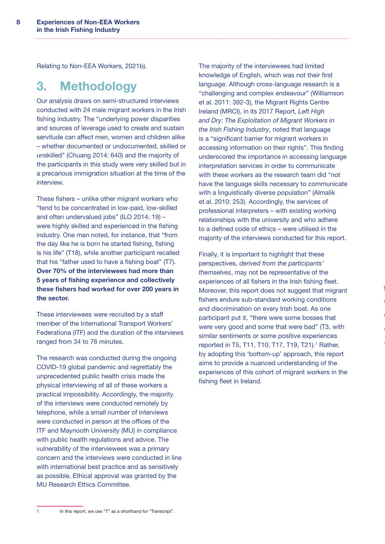<span id="page-11-0"></span>Relating to Non-EEA Workers, 2021b).

## 3. Methodology

Our analysis draws on semi-structured interviews conducted with 24 male migrant workers in the Irish fishing industry. The "underlying power disparities and sources of leverage used to create and sustain servitude can affect men, women and children alike – whether documented or undocumented, skilled or unskilled" (Chuang 2014: 640) and the majority of the participants in this study were very skilled but in a precarious immigration situation at the time of the interview.

These fishers – unlike other migrant workers who "tend to be concentrated in low-paid, low-skilled and often undervalued jobs" (ILO 2014: 19) – were highly skilled and experienced in the fishing industry. One man noted, for instance, that "from the day like he is born he started fishing, fishing is his life" (T18), while another participant recalled that his "father used to have a fishing boat" (T7). Over 70% of the interviewees had more than 5 years of fishing experience and collectively these fishers had worked for over 200 years in the sector.

These interviewees were recruited by a staff member of the International Transport Workers' Federationa (ITF) and the duration of the interviews ranged from 34 to 76 minutes.

The research was conducted during the ongoing COVID-19 global pandemic and regrettably the unprecedented public health crisis made the physical interviewing of all of these workers a practical impossibility. Accordingly, the majority of the interviews were conducted remotely by telephone, while a small number of interviews were conducted in person at the offices of the ITF and Maynooth University (MU) in compliance with public health regulations and advice. The vulnerability of the interviewees was a primary concern and the interviews were conducted in line with international best practice and as sensitively as possible. Ethical approval was granted by the MU Research Ethics Committee.

The majority of the interviewees had limited knowledge of English, which was not their first language. Although cross-language research is a "challenging and complex endeavour" (Williamson et al. 2011: 392-3), the Migrant Rights Centre Ireland (MRCI), in its 2017 Report, *Left High and Dry: The Exploitation of Migrant Workers in the Irish Fishing Industry*, noted that language is a "significant barrier for migrant workers in accessing information on their rights". This finding underscored the importance in accessing language interpretation services in order to communicate with these workers as the research team did "not have the language skills necessary to communicate with a linguistically diverse population" (Almalik et al. 2010: 253). Accordingly, the services of professional interpreters – with existing working relationships with the university and who adhere to a defined code of ethics – were utilised in the majority of the interviews conducted for this report.

Finally, it is important to highlight that these perspectives, *derived from the participants' themselves*, may not be representative of the experiences of all fishers in the Irish fishing fleet. Moreover, this report does not suggest that migrant fishers endure sub-standard working conditions and discrimination on every Irish boat. As one participant put it, "there were some bosses that were very good and some that were bad" (T3, with similar sentiments or some positive experiences reported in T5, T11, T10, T17, T19, T21).<sup>1</sup> Rather, by adopting this 'bottom-up' approach, this report aims to provide a nuanced understanding of the experiences of this cohort of migrant workers in the fishing fleet in Ireland.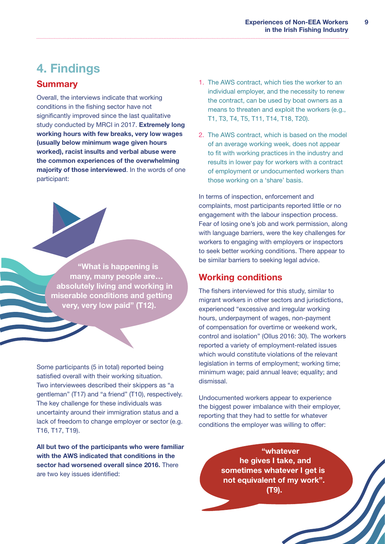## <span id="page-12-0"></span>4. Findings

### **Summary**

Overall, the interviews indicate that working conditions in the fishing sector have not significantly improved since the last qualitative study conducted by MRCI in 2017. Extremely long working hours with few breaks, very low wages (usually below minimum wage given hours worked), racist insults and verbal abuse were the common experiences of the overwhelming majority of those interviewed. In the words of one participant:

"What is happening is many, many people are… absolutely living and working in miserable conditions and getting very, very low paid" (T12).

Some participants (5 in total) reported being satisfied overall with their working situation. Two interviewees described their skippers as "a gentleman" (T17) and "a friend" (T10), respectively. The key challenge for these individuals was uncertainty around their immigration status and a lack of freedom to change employer or sector (e.g. T16, T17, T19).

All but two of the participants who were familiar with the AWS indicated that conditions in the sector had worsened overall since 2016. There are two key issues identified:

- 1. The AWS contract, which ties the worker to an individual employer, and the necessity to renew the contract, can be used by boat owners as a means to threaten and exploit the workers (e.g., T1, T3, T4, T5, T11, T14, T18, T20).
- 2. The AWS contract, which is based on the model of an average working week, does not appear to fit with working practices in the industry and results in lower pay for workers with a contract of employment or undocumented workers than those working on a 'share' basis.

In terms of inspection, enforcement and complaints, most participants reported little or no engagement with the labour inspection process. Fear of losing one's job and work permission, along with language barriers, were the key challenges for workers to engaging with employers or inspectors to seek better working conditions. There appear to be similar barriers to seeking legal advice.

### Working conditions

The fishers interviewed for this study, similar to migrant workers in other sectors and jurisdictions, experienced "excessive and irregular working hours, underpayment of wages, non-payment of compensation for overtime or weekend work, control and isolation" (Ollus 2016: 30). The workers reported a variety of employment-related issues which would constitute violations of the relevant legislation in terms of employment; working time; minimum wage; paid annual leave; equality; and dismissal.

Undocumented workers appear to experience the biggest power imbalance with their employer, reporting that they had to settle for whatever conditions the employer was willing to offer:

> "whatever he gives I take, and sometimes whatever I get is not equivalent of my work". (T9).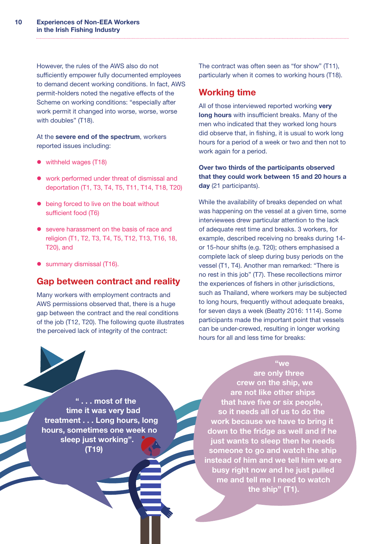<span id="page-13-0"></span>However, the rules of the AWS also do not sufficiently empower fully documented employees to demand decent working conditions. In fact, AWS permit-holders noted the negative effects of the Scheme on working conditions: "especially after work permit it changed into worse, worse, worse with doubles" (T18).

At the severe end of the spectrum, workers reported issues including:

- withheld wages (T18)
- work performed under threat of dismissal and deportation (T1, T3, T4, T5, T11, T14, T18, T20)
- $\bullet$  being forced to live on the boat without sufficient food (T6)
- severe harassment on the basis of race and religion (T1, T2, T3, T4, T5, T12, T13, T16, 18, T20), and
- **•** summary dismissal (T16).

### Gap between contract and reality

Many workers with employment contracts and AWS permissions observed that, there is a huge gap between the contract and the real conditions of the job (T12, T20). The following quote illustrates the perceived lack of integrity of the contract:

The contract was often seen as "for show" (T11), particularly when it comes to working hours (T18).

### Working time

All of those interviewed reported working very long hours with insufficient breaks. Many of the men who indicated that they worked long hours did observe that, in fishing, it is usual to work long hours for a period of a week or two and then not to work again for a period.

Over two thirds of the participants observed that they could work between 15 and 20 hours a day (21 participants).

While the availability of breaks depended on what was happening on the vessel at a given time, some interviewees drew particular attention to the lack of adequate rest time and breaks. 3 workers, for example, described receiving no breaks during 14 or 15-hour shifts (e.g. T20); others emphasised a complete lack of sleep during busy periods on the vessel (T1, T4). Another man remarked: "There is no rest in this job" (T7). These recollections mirror the experiences of fishers in other jurisdictions, such as Thailand, where workers may be subjected to long hours, frequently without adequate breaks, for seven days a week (Beatty 2016: 1114). Some participants made the important point that vessels can be under-crewed, resulting in longer working hours for all and less time for breaks:

" . . . most of the time it was very bad treatment . . . Long hours, long hours, sometimes one week no sleep just working". (T19)

are only three crew on the ship, we are not like other ships that have five or six people, so it needs all of us to do the work because we have to bring it down to the fridge as well and if he just wants to sleep then he needs someone to go and watch the ship instead of him and we tell him we are busy right now and he just pulled me and tell me I need to watch the ship" (T1).

"we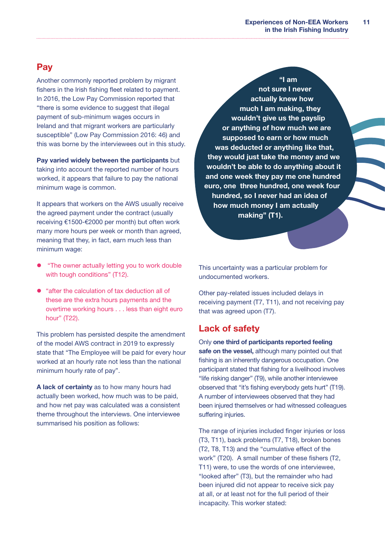#### **Experiences of Non-EEA Workers in the Irish Fishing Industry 11**

### <span id="page-14-0"></span>**Pay**

Another commonly reported problem by migrant fishers in the Irish fishing fleet related to payment. In 2016, the Low Pay Commission reported that "there is some evidence to suggest that illegal payment of sub-minimum wages occurs in Ireland and that migrant workers are particularly susceptible" (Low Pay Commission 2016: 46) and this was borne by the interviewees out in this study.

Pay varied widely between the participants but taking into account the reported number of hours worked, it appears that failure to pay the national minimum wage is common.

It appears that workers on the AWS usually receive the agreed payment under the contract (usually receiving €1500-€2000 per month) but often work many more hours per week or month than agreed, meaning that they, in fact, earn much less than minimum wage:

- "The owner actually letting you to work double with tough conditions" (T12).
- "after the calculation of tax deduction all of these are the extra hours payments and the overtime working hours . . . less than eight euro hour" (T22).

This problem has persisted despite the amendment of the model AWS contract in 2019 to expressly state that "The Employee will be paid for every hour worked at an hourly rate not less than the national minimum hourly rate of pay".

A lack of certainty as to how many hours had actually been worked, how much was to be paid, and how net pay was calculated was a consistent theme throughout the interviews. One interviewee summarised his position as follows:

"I am not sure I never actually knew how much I am making, they wouldn't give us the payslip or anything of how much we are supposed to earn or how much was deducted or anything like that, they would just take the money and we wouldn't be able to do anything about it and one week they pay me one hundred euro, one three hundred, one week four hundred, so I never had an idea of how much money I am actually making" (T1).

This uncertainty was a particular problem for undocumented workers.

Other pay-related issues included delays in receiving payment (T7, T11), and not receiving pay that was agreed upon (T7).

### Lack of safety

Only one third of participants reported feeling safe on the vessel, although many pointed out that fishing is an inherently dangerous occupation. One participant stated that fishing for a livelihood involves "life risking danger" (T9), while another interviewee observed that "it's fishing everybody gets hurt" (T19). A number of interviewees observed that they had been injured themselves or had witnessed colleagues suffering injuries.

The range of injuries included finger injuries or loss (T3, T11), back problems (T7, T18), broken bones (T2, T8, T13) and the "cumulative effect of the work" (T20). A small number of these fishers (T2, T11) were, to use the words of one interviewee, "looked after" (T3), but the remainder who had been injured did not appear to receive sick pay at all, or at least not for the full period of their incapacity. This worker stated: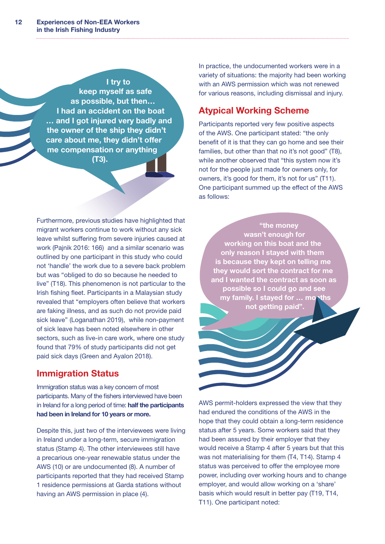<span id="page-15-0"></span>I try to keep myself as safe as possible, but then… I had an accident on the boat … and I got injured very badly and the owner of the ship they didn't care about me, they didn't offer me compensation or anything (T3).

Furthermore, previous studies have highlighted that migrant workers continue to work without any sick leave whilst suffering from severe injuries caused at work (Pajnik 2016: 166) and a similar scenario was outlined by one participant in this study who could not 'handle' the work due to a severe back problem but was "obliged to do so because he needed to live" (T18). This phenomenon is not particular to the Irish fishing fleet. Participants in a Malaysian study revealed that "employers often believe that workers are faking illness, and as such do not provide paid sick leave" (Loganathan 2019), while non-payment of sick leave has been noted elsewhere in other sectors, such as live-in care work, where one study found that 79% of study participants did not get paid sick days (Green and Ayalon 2018).

### Immigration Status

Immigration status was a key concern of most participants. Many of the fishers interviewed have been in Ireland for a long period of time: half the participants had been in Ireland for 10 years or more.

Despite this, just two of the interviewees were living in Ireland under a long-term, secure immigration status (Stamp 4). The other interviewees still have a precarious one-year renewable status under the AWS (10) or are undocumented (8). A number of participants reported that they had received Stamp 1 residence permissions at Garda stations without having an AWS permission in place (4).

In practice, the undocumented workers were in a variety of situations: the majority had been working with an AWS permission which was not renewed for various reasons, including dismissal and injury.

## Atypical Working Scheme

Participants reported very few positive aspects of the AWS. One participant stated: "the only benefit of it is that they can go home and see their families, but other than that no it's not good" (T8), while another observed that "this system now it's not for the people just made for owners only, for owners, it's good for them, it's not for us" (T11). One participant summed up the effect of the AWS as follows:

"the money wasn't enough for working on this boat and the only reason I stayed with them is because they kept on telling me they would sort the contract for me and I wanted the contract as soon as possible so I could go and see my family. I stayed for ... months not getting paid".

AWS permit-holders expressed the view that they had endured the conditions of the AWS in the hope that they could obtain a long-term residence status after 5 years. Some workers said that they had been assured by their employer that they would receive a Stamp 4 after 5 years but that this was not materialising for them (T4, T14). Stamp 4 status was perceived to offer the employee more power, including over working hours and to change employer, and would allow working on a 'share' basis which would result in better pay (T19, T14, T11). One participant noted: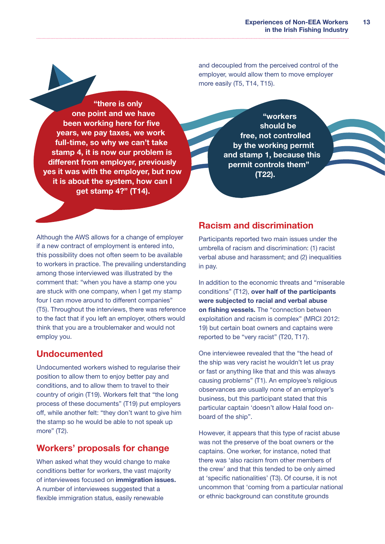and decoupled from the perceived control of the employer, would allow them to move employer more easily (T5, T14, T15).

<span id="page-16-0"></span>"there is only one point and we have been working here for five years, we pay taxes, we work full-time, so why we can't take stamp 4, it is now our problem is different from employer, previously yes it was with the employer, but now it is about the system, how can I get stamp 4?" (T14).

"workers should be free, not controlled by the working permit and stamp 1, because this permit controls them" (T22).

Although the AWS allows for a change of employer if a new contract of employment is entered into, this possibility does not often seem to be available to workers in practice. The prevailing understanding among those interviewed was illustrated by the comment that: "when you have a stamp one you are stuck with one company, when I get my stamp four I can move around to different companies" (T5). Throughout the interviews, there was reference to the fact that if you left an employer, others would think that you are a troublemaker and would not employ you.

### Undocumented

Undocumented workers wished to regularise their position to allow them to enjoy better pay and conditions, and to allow them to travel to their country of origin (T19). Workers felt that "the long process of these documents" (T19) put employers off, while another felt: "they don't want to give him the stamp so he would be able to not speak up more" (T2).

## Workers' proposals for change

When asked what they would change to make conditions better for workers, the vast majority of interviewees focused on immigration issues. A number of interviewees suggested that a flexible immigration status, easily renewable

## Racism and discrimination

Participants reported two main issues under the umbrella of racism and discrimination: (1) racist verbal abuse and harassment; and (2) inequalities in pay.

In addition to the economic threats and "miserable conditions" (T12), over half of the participants were subjected to racial and verbal abuse on fishing vessels. The "connection between exploitation and racism is complex" (MRCI 2012: 19) but certain boat owners and captains were reported to be "very racist" (T20, T17).

One interviewee revealed that the "the head of the ship was very racist he wouldn't let us pray or fast or anything like that and this was always causing problems" (T1). An employee's religious observances are usually none of an employer's business, but this participant stated that this particular captain 'doesn't allow Halal food onboard of the ship".

However, it appears that this type of racist abuse was not the preserve of the boat owners or the captains. One worker, for instance, noted that there was 'also racism from other members of the crew' and that this tended to be only aimed at 'specific nationalities' (T3). Of course, it is not uncommon that 'coming from a particular national or ethnic background can constitute grounds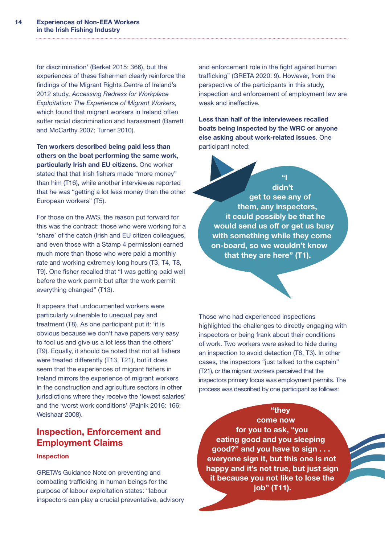<span id="page-17-0"></span>for discrimination' (Berket 2015: 366), but the experiences of these fishermen clearly reinforce the findings of the Migrant Rights Centre of Ireland's 2012 study, *Accessing Redress for Workplace Exploitation: The Experience of Migrant Workers,* which found that migrant workers in Ireland often suffer racial discrimination and harassment (Barrett and McCarthy 2007; Turner 2010).

Ten workers described being paid less than others on the boat performing the same work, particularly Irish and EU citizens. One worker stated that that Irish fishers made "more money" than him (T16), while another interviewee reported that he was "getting a lot less money than the other European workers" (T5).

For those on the AWS, the reason put forward for this was the contract: those who were working for a 'share' of the catch (Irish and EU citizen colleagues, and even those with a Stamp 4 permission) earned much more than those who were paid a monthly rate and working extremely long hours (T3, T4, T8, T9). One fisher recalled that "I was getting paid well before the work permit but after the work permit everything changed" (T13).

It appears that undocumented workers were particularly vulnerable to unequal pay and treatment (T8). As one participant put it: 'it is obvious because we don't have papers very easy to fool us and give us a lot less than the others' (T9). Equally, it should be noted that not all fishers were treated differently (T13, T21), but it does seem that the experiences of migrant fishers in Ireland mirrors the experience of migrant workers in the construction and agriculture sectors in other jurisdictions where they receive the 'lowest salaries' and the 'worst work conditions' (Pajnik 2016: 166; Weishaar 2008).

### Inspection, Enforcement and Employment Claims

#### Inspection

GRETA's Guidance Note on preventing and combating trafficking in human beings for the purpose of labour exploitation states: "labour inspectors can play a crucial preventative, advisory and enforcement role in the fight against human trafficking" (GRETA 2020: 9). However, from the perspective of the participants in this study, inspection and enforcement of employment law are weak and ineffective.

Less than half of the interviewees recalled boats being inspected by the WRC or anyone else asking about work-related issues. One participant noted:

 $\alpha$ didn't get to see any of them, any inspectors, it could possibly be that he would send us off or get us busy with something while they come on-board, so we wouldn't know that they are here" (T1).

Those who had experienced inspections highlighted the challenges to directly engaging with inspectors or being frank about their conditions of work. Two workers were asked to hide during an inspection to avoid detection (T8, T3). In other cases, the inspectors "just talked to the captain" (T21), or the migrant workers perceived that the inspectors primary focus was employment permits. The process was described by one participant as follows:

#### "they

come now for you to ask, "you eating good and you sleeping good?" and you have to sign . . . everyone sign it, but this one is not happy and it's not true, but just sign it because you not like to lose the job" (T11).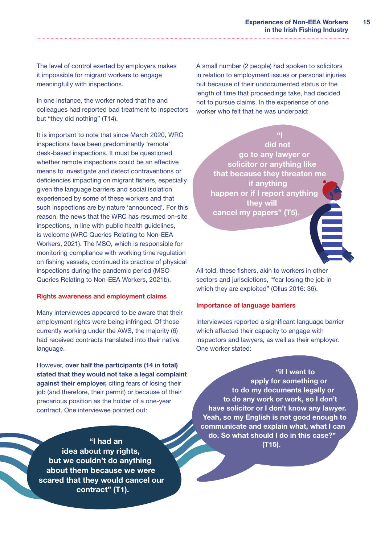The level of control exerted by employers makes it impossible for migrant workers to engage meaningfully with inspections.

In one instance, the worker noted that he and colleagues had reported bad treatment to inspectors but "they did nothing" (T14).

It is important to note that since March 2020, WRC inspections have been predominantly 'remote' desk-based inspections. It must be questioned whether remote inspections could be an effective means to investigate and detect contraventions or deficiencies impacting on migrant fishers, especially given the language barriers and social isolation experienced by some of these workers and that such inspections are by nature 'announced'. For this reason, the news that the WRC has resumed on-site inspections, in line with public health quidelines, is welcome (WRC Queries Relating to Non-EEA Workers, 2021). The MSO, which is responsible for monitoring compliance with working time regulation on fishing vessels, continued its practice of physical inspections during the pandemic period (MSO Queries Relating to Non-EEA Workers, 2021b).

#### Rights awareness and employment claims

Many interviewees appeared to be aware that their employment rights were being infringed. Of those currently working under the AWS, the majority (6) had received contracts translated into their native language.

However, over half the participants (14 in total) stated that they would not take a legal complaint against their employer, citing fears of losing their job (and therefore, their permit) or because of their precarious position as the holder of a one-year contract. One interviewee pointed out:

"I had an idea about my rights, but we couldn't do anything about them because we were scared that they would cancel our contract" (T1).

A small number (2 people) had spoken to solicitors in relation to employment issues or personal injuries but because of their undocumented status or the length of time that proceedings take, had decided not to pursue claims. In the experience of one worker who felt that he was underpaid:

"I did not go to any lawyer or solicitor or anything like that because they threaten me if anything happen or if I report anything they will cancel my papers" (T5).

All told, these fishers, akin to workers in other sectors and jurisdictions, "fear losing the job in which they are exploited" (Ollus 2016: 36).

#### Importance of language barriers

Interviewees reported a significant language barrier which affected their capacity to engage with inspectors and lawyers, as well as their employer. One worker stated:

"if I want to apply for something or to do my documents legally or to do any work or work, so I don't have solicitor or I don't know any lawyer. Yeah, so my English is not good enough to communicate and explain what, what I can do. So what should I do in this case?" (T15).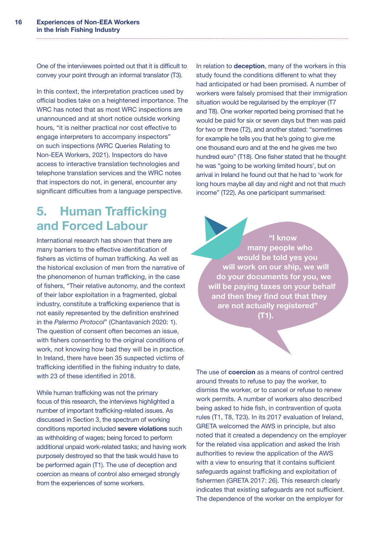<span id="page-19-0"></span>One of the interviewees pointed out that it is difficult to convey your point through an informal translator (T3).

In this context, the interpretation practices used by official bodies take on a heightened importance. The WRC has noted that as most WRC inspections are unannounced and at short notice outside working hours, "it is neither practical nor cost effective to engage interpreters to accompany inspectors" on such inspections (WRC Queries Relating to Non-EEA Workers, 2021). Inspectors do have access to interactive translation technologies and telephone translation services and the WRC notes that inspectors do not, in general, encounter any significant difficulties from a language perspective.

## 5. Human Trafficking and Forced Labour

International research has shown that there are many barriers to the effective identification of fishers as victims of human trafficking. As well as the historical exclusion of men from the narrative of the phenomenon of human trafficking, in the case of fishers, "Their relative autonomy, and the context of their labor exploitation in a fragmented, global industry, constitute a trafficking experience that is not easily represented by the definition enshrined in the *Palermo Protocol*" (Chantavanich 2020: 1). The question of consent often becomes an issue, with fishers consenting to the original conditions of work, not knowing how bad they will be in practice. In Ireland, there have been 35 suspected victims of trafficking identified in the fishing industry to date, with 23 of these identified in 2018.

While human trafficking was not the primary focus of this research, the interviews highlighted a number of important trafficking-related issues. As discussed in Section 3, the spectrum of working conditions reported included severe violations such as withholding of wages; being forced to perform additional unpaid work-related tasks; and having work purposely destroyed so that the task would have to be performed again (T1). The use of deception and coercion as means of control also emerged strongly from the experiences of some workers.

In relation to **deception**, many of the workers in this study found the conditions different to what they had anticipated or had been promised. A number of workers were falsely promised that their immigration situation would be regularised by the employer (T7 and T8). One worker reported being promised that he would be paid for six or seven days but then was paid for two or three (T2), and another stated: "sometimes for example he tells you that he's going to give me one thousand euro and at the end he gives me two hundred euro" (T18). One fisher stated that he thought he was "going to be working limited hours', but on arrival in Ireland he found out that he had to 'work for long hours maybe all day and night and not that much income" (T22). As one participant summarised:

"I know many people who would be told yes you will work on our ship, we will do your documents for you, we will be paying taxes on your behalf and then they find out that they are not actually registered" (T1).

The use of **coercion** as a means of control centred around threats to refuse to pay the worker, to dismiss the worker, or to cancel or refuse to renew work permits. A number of workers also described being asked to hide fish, in contravention of quota rules (T1, T8, T23). In its 2017 evaluation of Ireland, GRETA welcomed the AWS in principle, but also noted that it created a dependency on the employer for the related visa application and asked the Irish authorities to review the application of the AWS with a view to ensuring that it contains sufficient safeguards against trafficking and exploitation of fishermen (GRETA 2017: 26). This research clearly indicates that existing safeguards are not sufficient. The dependence of the worker on the employer for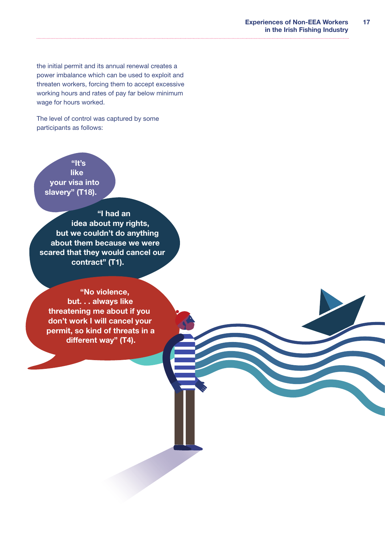the initial permit and its annual renewal creates a power imbalance which can be used to exploit and threaten workers, forcing them to accept excessive working hours and rates of pay far below minimum wage for hours worked.

The level of control was captured by some participants as follows:

## "It's

like your visa into slavery" (T18).

"I had an idea about my rights, but we couldn't do anything about them because we were scared that they would cancel our contract" (T1).

"No violence, but. . . always like threatening me about if you don't work I will cancel your permit, so kind of threats in a different way" (T4).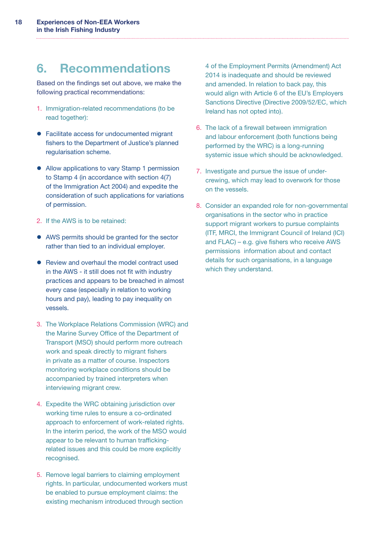## <span id="page-21-0"></span>6. Recommendations

Based on the findings set out above, we make the following practical recommendations:

- 1. Immigration-related recommendations (to be read together):
- Facilitate access for undocumented migrant fishers to the Department of Justice's planned regularisation scheme.
- Allow applications to vary Stamp 1 permission to Stamp 4 (in accordance with section 4(7) of the Immigration Act 2004) and expedite the consideration of such applications for variations of permission.
- 2. If the AWS is to be retained:
- AWS permits should be granted for the sector rather than tied to an individual employer.
- Review and overhaul the model contract used in the AWS - it still does not fit with industry practices and appears to be breached in almost every case (especially in relation to working hours and pay), leading to pay inequality on vessels.
- 3. The Workplace Relations Commission (WRC) and the Marine Survey Office of the Department of Transport (MSO) should perform more outreach work and speak directly to migrant fishers in private as a matter of course. Inspectors monitoring workplace conditions should be accompanied by trained interpreters when interviewing migrant crew.
- 4. Expedite the WRC obtaining jurisdiction over working time rules to ensure a co-ordinated approach to enforcement of work-related rights. In the interim period, the work of the MSO would appear to be relevant to human traffickingrelated issues and this could be more explicitly recognised.
- 5. Remove legal barriers to claiming employment rights. In particular, undocumented workers must be enabled to pursue employment claims: the existing mechanism introduced through section

4 of the Employment Permits (Amendment) Act 2014 is inadequate and should be reviewed and amended. In relation to back pay, this would align with Article 6 of the EU's Employers Sanctions Directive (Directive 2009/52/EC, which Ireland has not opted into).

- 6. The lack of a firewall between immigration and labour enforcement (both functions being performed by the WRC) is a long-running systemic issue which should be acknowledged.
- 7. Investigate and pursue the issue of undercrewing, which may lead to overwork for those on the vessels.
- 8. Consider an expanded role for non-governmental organisations in the sector who in practice support migrant workers to pursue complaints (ITF, MRCI, the Immigrant Council of Ireland (ICI) and FLAC) – e.g. give fishers who receive AWS permissions information about and contact details for such organisations, in a language which they understand.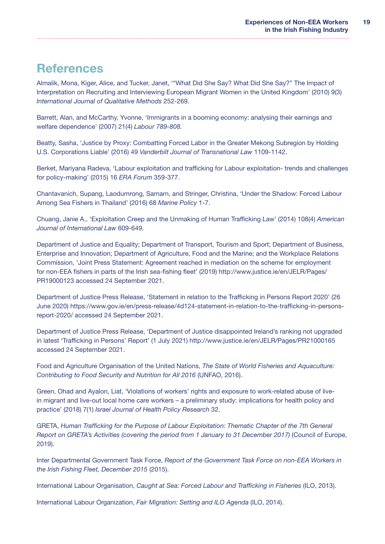## <span id="page-22-0"></span>**References**

Almalik, Mona, Kiger, Alice, and Tucker, Janet, '"What Did She Say? What Did She Say?" The Impact of Interpretation on Recruiting and Interviewing European Migrant Women in the United Kingdom' (2010) 9(3) *International Journal of Qualitative Methods* 252-269.

Barrett, Alan, and McCarthy, Yvonne, 'Immigrants in a booming economy: analysing their earnings and welfare dependence' (2007) 21(4) *Labour 789-808.* 

Beatty, Sasha, 'Justice by Proxy: Combatting Forced Labor in the Greater Mekong Subregion by Holding U.S. Corporations Liable' (2016) 49 *Vanderbilt Journal of Transnational Law* 1109-1142.

Berket, Mariyana Radeva, 'Labour exploitation and trafficking for Labour exploitation- trends and challenges for policy-making' (2015) 16 *ERA Forum* 359-377.

Chantavanich, Supang, Laodumrong, Samarn, and Stringer, Christina, 'Under the Shadow: Forced Labour Among Sea Fishers in Thailand' (2016) 68 *Marine Policy* 1-7.

Chuang, Janie A., 'Exploitation Creep and the Unmaking of Human Trafficking Law' (2014) 108(4) *American Journal of International Law* 609-649.

Department of Justice and Equality; Department of Transport, Tourism and Sport; Department of Business, Enterprise and Innovation; Department of Agriculture, Food and the Marine; and the Workplace Relations Commission, 'Joint Press Statement: Agreement reached in mediation on the scheme for employment for non-EEA fishers in parts of the Irish sea-fishing fleet' (2019) http://www.justice.ie/en/JELR/Pages/ PR19000123 accessed 24 September 2021.

Department of Justice Press Release, 'Statement in relation to the Trafficking in Persons Report 2020' (26 June 2020) https://www.gov.ie/en/press-release/4d124-statement-in-relation-to-the-trafficking-in-personsreport-2020/ accessed 24 September 2021.

Department of Justice Press Release, 'Department of Justice disappointed Ireland's ranking not upgraded in latest 'Trafficking in Persons' Report' (1 July 2021) http://www.justice.ie/en/JELR/Pages/PR21000165 accessed 24 September 2021.

Food and Agriculture Organisation of the United Nations, *The State of World Fisheries and Aquaculture: Contributing to Food Security and Nutrition for All 2016* (UNFAO, 2016).

Green, Ohad and Ayalon, Liat, 'Violations of workers' rights and exposure to work-related abuse of livein migrant and live-out local home care workers – a preliminary study: implications for health policy and practice' (2018) 7(1) *Israel Journal of Health Policy Research* 32.

GRETA, *Human Trafficking for the Purpose of Labour Exploitation: Thematic Chapter of the 7th General Report on GRETA's Activities (covering the period from 1 January to 31 December 2017)* (Council of Europe, 2019).

Inter Departmental Government Task Force, *Report of the Government Task Force on non-EEA Workers in the Irish Fishing Fleet, December 2015* (2015).

International Labour Organisation, *Caught at Sea: Forced Labour and Trafficking in Fisheries* (ILO, 2013).

International Labour Organization, *Fair Migration: Setting and ILO Agenda* (ILO, 2014).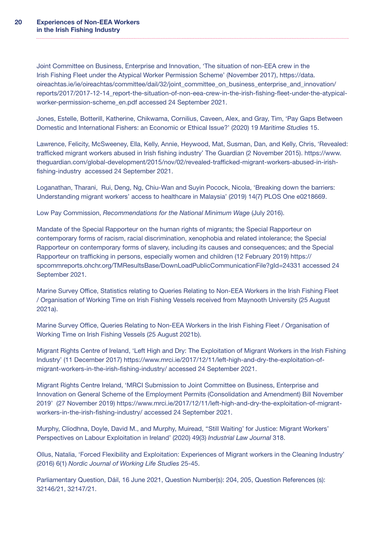Joint Committee on Business, Enterprise and Innovation, 'The situation of non-EEA crew in the Irish Fishing Fleet under the Atypical Worker Permission Scheme' (November 2017), https://data. oireachtas.ie/ie/oireachtas/committee/dail/32/joint\_committee\_on\_business\_enterprise\_and\_innovation/ reports/2017/2017-12-14\_report-the-situation-of-non-eea-crew-in-the-irish-fishing-fleet-under-the-atypicalworker-permission-scheme\_en.pdf accessed 24 September 2021.

Jones, Estelle, Botterill, Katherine, Chikwama, Cornilius, Caveen, Alex, and Gray, Tim, 'Pay Gaps Between Domestic and International Fishers: an Economic or Ethical Issue?' (2020) 19 *Maritime Studies* 15.

Lawrence, Felicity, McSweeney, Ella, Kelly, Annie, Heywood, Mat, Susman, Dan, and Kelly, Chris, 'Revealed: trafficked migrant workers abused in Irish fishing industry' The Guardian (2 November 2015). https://www. theguardian.com/global-development/2015/nov/02/revealed-trafficked-migrant-workers-abused-in-irishfishing-industry accessed 24 September 2021.

Loganathan, Tharani, Rui, Deng, Ng, Chiu-Wan and Suyin Pocock, Nicola, 'Breaking down the barriers: Understanding migrant workers' access to healthcare in Malaysia' (2019) 14(7) PLOS One e0218669.

Low Pay Commission, *Recommendations for the National Minimum Wage* (July 2016).

Mandate of the Special Rapporteur on the human rights of migrants; the Special Rapporteur on contemporary forms of racism, racial discrimination, xenophobia and related intolerance; the Special Rapporteur on contemporary forms of slavery, including its causes and consequences; and the Special Rapporteur on trafficking in persons, especially women and children (12 February 2019) https:// spcommreports.ohchr.org/TMResultsBase/DownLoadPublicCommunicationFile?gId=24331 accessed 24 September 2021.

Marine Survey Office, Statistics relating to Queries Relating to Non-EEA Workers in the Irish Fishing Fleet / Organisation of Working Time on Irish Fishing Vessels received from Maynooth University (25 August 2021a).

Marine Survey Office, Queries Relating to Non-EEA Workers in the Irish Fishing Fleet / Organisation of Working Time on Irish Fishing Vessels (25 August 2021b).

Migrant Rights Centre of Ireland, 'Left High and Dry: The Exploitation of Migrant Workers in the Irish Fishing Industry' (11 December 2017) https://www.mrci.ie/2017/12/11/left-high-and-dry-the-exploitation-ofmigrant-workers-in-the-irish-fishing-industry/ accessed 24 September 2021.

Migrant Rights Centre Ireland, 'MRCI Submission to Joint Committee on Business, Enterprise and Innovation on General Scheme of the Employment Permits (Consolidation and Amendment) Bill November 2019' (27 November 2019) https://www.mrci.ie/2017/12/11/left-high-and-dry-the-exploitation-of-migrantworkers-in-the-irish-fishing-industry/ accessed 24 September 2021.

Murphy, Clíodhna, Doyle, David M., and Murphy, Muiread, ''Still Waiting' for Justice: Migrant Workers' Perspectives on Labour Exploitation in Ireland' (2020) 49(3) *Industrial Law Journal* 318.

Ollus, Natalia, 'Forced Flexibility and Exploitation: Experiences of Migrant workers in the Cleaning Industry' (2016) 6(1) *Nordic Journal of Working Life Studies* 25-45.

Parliamentary Question, Dáil, 16 June 2021, Question Number(s): 204, 205, Question References (s): 32146/21, 32147/21.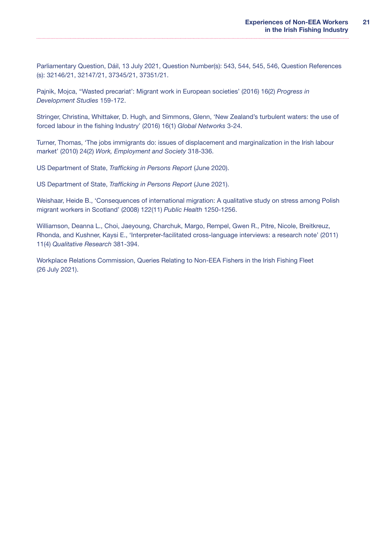Parliamentary Question, Dáil, 13 July 2021, Question Number(s): 543, 544, 545, 546, Question References (s): 32146/21, 32147/21, 37345/21, 37351/21.

Pajnik, Mojca, ''Wasted precariat': Migrant work in European societies' (2016) 16(2) *Progress in Development Studies* 159-172.

Stringer, Christina, Whittaker, D. Hugh, and Simmons, Glenn, 'New Zealand's turbulent waters: the use of forced labour in the fishing Industry' (2016) 16(1) *Global Networks* 3-24.

Turner, Thomas, 'The jobs immigrants do: issues of displacement and marginalization in the Irish labour market' (2010) 24(2) *Work, Employment and Society* 318-336.

US Department of State, *Trafficking in Persons Report* (June 2020).

US Department of State, *Trafficking in Persons Report* (June 2021).

Weishaar, Heide B., 'Consequences of international migration: A qualitative study on stress among Polish migrant workers in Scotland' (2008) 122(11) *Public Health* 1250-1256.

Williamson, Deanna L., Choi, Jaeyoung, Charchuk, Margo, Rempel, Gwen R., Pitre, Nicole, Breitkreuz, Rhonda, and Kushner, Kaysi E., 'Interpreter-facilitated cross-language interviews: a research note' (2011) 11(4) *Qualitative Research* 381-394.

Workplace Relations Commission, Queries Relating to Non-EEA Fishers in the Irish Fishing Fleet (26 July 2021).